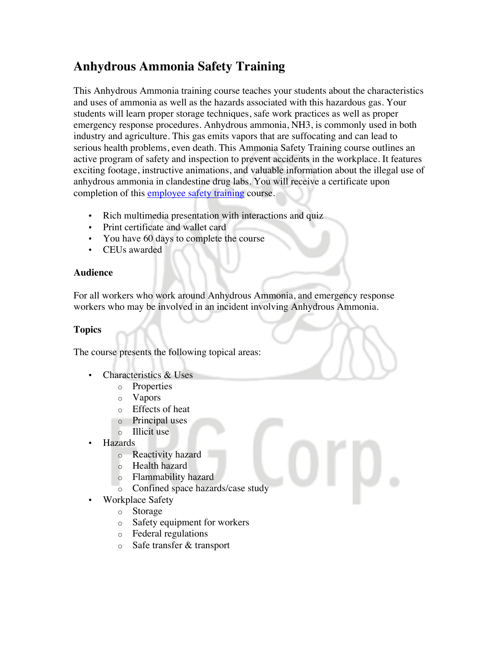## **Anhydrous Ammonia Safety Training**

This Anhydrous Ammonia training course teaches your students about the characteristics and uses of ammonia as well as the hazards associated with this hazardous gas. Your students will learn proper storage techniques, safe work practices as well as proper emergency response procedures. Anhydrous ammonia, NH3, is commonly used in both industry and agriculture. This gas emits vapors that are suffocating and can lead to serious health problems, even death. This Ammonia Safety Training course outlines an active program of safety and inspection to prevent accidents in the workplace. It features exciting footage, instructive animations, and valuable information about the illegal use of anhydrous ammonia in clandestine drug labs. You will receive a certificate upon completion of this employee safety training course.

- Rich multimedia presentation with interactions and quiz
- Print certificate and wallet card
- You have 60 days to complete the course
- CEUs awarded

## **Audience**

For all workers who work around Anhydrous Ammonia, and emergency response workers who may be involved in an incident involving Anhydrous Ammonia.

## **Topics**

The course presents the following topical areas:

- Characteristics & Uses
	- o Properties
		- o Vapors
		- o Effects of heat
	- o Principal uses
	- o Illicit use
- Hazards
	- o Reactivity hazard
	- o Health hazard
	- o Flammability hazard
	- o Confined space hazards/case study
	- Workplace Safety
		- o Storage
		- o Safety equipment for workers
		- o Federal regulations
		- o Safe transfer & transport